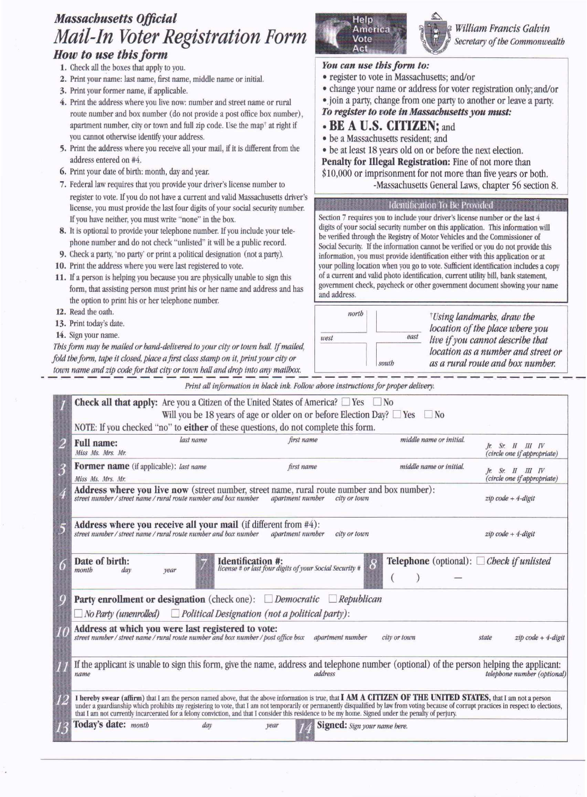# *Massachusetts Official Mail-In Voter Registration Form*

## *How to use this form*

- 1. Check all the boxes that apply to you.
- 2. Print your name: last name, first name, middle name or initial.
- 3. Print your former name, if applicable.
- 4. Print the address where you live now: number and street name or rural route number and box number (do not provide a post office box number), apartment number, city or town and full zip code. Use the map' at right if you cannot otherwise identify your address.
- 5. Print the address where you receive all your mail, if it is different from the address entered on #4.
- 6. Print your date of birth: month, day and year.
- 7. Federal law requires that you provide your driver's license number to register to vote. If you do not have a current and valid Massachusetts driver's license, you must provide the last four digits of your social security number. If you have neither, you must write "none" in the box.
- 8. It is optional to provide your telephone number. If you include your telephone number and do not check "unlisted" it will be a public record.
- 9. Check a party, 'no party' or print a political designation (not a party).
- 10. Print the address where you were last registered to vote.
- 11. If a person is helping you because you are physically unable to sign this form, that assisting person must print his or her name and address and has the option to print his or her telephone number.
- 12. Read the oath.
- 13. Print today's date.
- 14. Sign your name.

*Thisform may be mtliled or hand-delivered to your city or town hall. if mailed, fold the form, tape it closed, place a first class stamp on it, print your city* or *town name and zip code for that city or town hall and drop into any mailbox:*

*Print all information in black ink. Follow above instructions for proper delivery.*

| last name<br><b>Full name:</b><br>Miss Ms. Mrs. Mr. | first name                                                                                             | middle name or initial.                                                                                                                                                                                                                                                                                                                                                                                                                                                                                                                      | $\mathcal{F}$ . Sr. II III IV<br>(circle one if appropriate)                                                                                                                                                                                                                                                                                                                                                                                                                                                                                                                                                                                                                                                                                                                                                                                                                                                                                                                                                                                                                                                                   |
|-----------------------------------------------------|--------------------------------------------------------------------------------------------------------|----------------------------------------------------------------------------------------------------------------------------------------------------------------------------------------------------------------------------------------------------------------------------------------------------------------------------------------------------------------------------------------------------------------------------------------------------------------------------------------------------------------------------------------------|--------------------------------------------------------------------------------------------------------------------------------------------------------------------------------------------------------------------------------------------------------------------------------------------------------------------------------------------------------------------------------------------------------------------------------------------------------------------------------------------------------------------------------------------------------------------------------------------------------------------------------------------------------------------------------------------------------------------------------------------------------------------------------------------------------------------------------------------------------------------------------------------------------------------------------------------------------------------------------------------------------------------------------------------------------------------------------------------------------------------------------|
| <b>Former name</b> (if applicable): last name       | first name                                                                                             | middle name or initial.                                                                                                                                                                                                                                                                                                                                                                                                                                                                                                                      | $h$ . Sr. II III IV<br>(circle one if appropriate)                                                                                                                                                                                                                                                                                                                                                                                                                                                                                                                                                                                                                                                                                                                                                                                                                                                                                                                                                                                                                                                                             |
|                                                     |                                                                                                        |                                                                                                                                                                                                                                                                                                                                                                                                                                                                                                                                              | $zip code + 4-digit$                                                                                                                                                                                                                                                                                                                                                                                                                                                                                                                                                                                                                                                                                                                                                                                                                                                                                                                                                                                                                                                                                                           |
|                                                     | apartment number<br>city or town                                                                       |                                                                                                                                                                                                                                                                                                                                                                                                                                                                                                                                              | $zip code + 4-digit$                                                                                                                                                                                                                                                                                                                                                                                                                                                                                                                                                                                                                                                                                                                                                                                                                                                                                                                                                                                                                                                                                                           |
| Date of birth:<br>month<br>day<br>vear              | <b>Identification #:</b><br><i>license</i> # or last four digits of your Social Security #<br>$\delta$ | <b>Telephone</b> (optional): $\Box$ Check if unlisted                                                                                                                                                                                                                                                                                                                                                                                                                                                                                        |                                                                                                                                                                                                                                                                                                                                                                                                                                                                                                                                                                                                                                                                                                                                                                                                                                                                                                                                                                                                                                                                                                                                |
|                                                     |                                                                                                        |                                                                                                                                                                                                                                                                                                                                                                                                                                                                                                                                              |                                                                                                                                                                                                                                                                                                                                                                                                                                                                                                                                                                                                                                                                                                                                                                                                                                                                                                                                                                                                                                                                                                                                |
|                                                     |                                                                                                        |                                                                                                                                                                                                                                                                                                                                                                                                                                                                                                                                              |                                                                                                                                                                                                                                                                                                                                                                                                                                                                                                                                                                                                                                                                                                                                                                                                                                                                                                                                                                                                                                                                                                                                |
|                                                     | apartment number                                                                                       | city or town                                                                                                                                                                                                                                                                                                                                                                                                                                                                                                                                 | $z$ i $p$ code + 4-digit<br>state                                                                                                                                                                                                                                                                                                                                                                                                                                                                                                                                                                                                                                                                                                                                                                                                                                                                                                                                                                                                                                                                                              |
| name                                                | address                                                                                                |                                                                                                                                                                                                                                                                                                                                                                                                                                                                                                                                              | telephone number (optional)                                                                                                                                                                                                                                                                                                                                                                                                                                                                                                                                                                                                                                                                                                                                                                                                                                                                                                                                                                                                                                                                                                    |
|                                                     |                                                                                                        |                                                                                                                                                                                                                                                                                                                                                                                                                                                                                                                                              |                                                                                                                                                                                                                                                                                                                                                                                                                                                                                                                                                                                                                                                                                                                                                                                                                                                                                                                                                                                                                                                                                                                                |
| Today's date: month<br>day                          | year                                                                                                   |                                                                                                                                                                                                                                                                                                                                                                                                                                                                                                                                              |                                                                                                                                                                                                                                                                                                                                                                                                                                                                                                                                                                                                                                                                                                                                                                                                                                                                                                                                                                                                                                                                                                                                |
|                                                     | Miss Ms. Mrs. Mr.                                                                                      | NOTE: If you checked "no" to either of these questions, do not complete this form.<br>Address where you receive all your mail (if different from $#4$ ):<br>street number / street name / rural route number and box number<br><b>Party enrollment or designation</b> (check one): $\Box$ <i>Democratic</i><br>$\Box$ No Party (unenrolled) $\Box$ Political Designation (not a political party):<br>Address at which you were last registered to vote:<br>street number / street name / rural route number and box number / post office box | <b>Check all that apply:</b> Are you a Citizen of the United States of America? $\Box$ Yes $\Box$ No<br>Will you be 18 years of age or older on or before Election Day? $\Box$ Yes $\Box$ No<br><b>Address where you live now</b> (street number, street name, rural route number and box number):<br>street number / street name / rural route number and box number apartment number city or town<br>$\Box$ Republican<br>If the applicant is unable to sign this form, give the name, address and telephone number (optional) of the person helping the applicant:<br>I hereby swear (affirm) that I am the person named above, that the above information is true, that I AM A CITIZEN OF THE UNITED STATES, that I am not a person<br>under a guardianship which prohibits my registering to vote, that I am not temporarily or permanently disqualified by law from voting because of corrupt practices in respect to elections,<br>that I am not currently incarcerated for a felony conviction, and that I consider this residence to be my home. Signed under the penalty of perjury.<br>Signed: Sign your name here. |



*William Francis Galvin Secretary of the Commonwealth*

#### *You can use this form to:*

- register to vote in Massachusetts; and/or
- change your name or address for voter registration only; and/or

•. join a party, change from one party to another or leave a party. *To register to vote in Massachusetts you must:*

### **• BE A** U.S. CITIZEN; and

- be a Massachusetts resident; and
- be at least 18 years old on or before the next election.

Penalty for Illegal Registration: Fine of not more than

\$10,000 or imprisonment for not more than five years or both. -Massachusetts General Laws, chapter 56 section 8.

#### **Identification To Be Provided**

Section 7 requires you to include your driver's license number or the last 4 digits of your social security number on this application. This information will be verified through the Registry of Motor Vehicles and the Commissioner of Social Security. If the information cannot be verified or you do not provide this information, you must provide identification either with this application or at your polling location when you go to vote. Sufficient identification includes a copy of a current and valid photo identification, current utility bill, bank statement, government check, paycheck or other government document showing your name and address.

north t*Usinglandmarks, draw the location of the place where you* east *west live if you cannot describe that location as a number and street or as a rural route and box number.* south